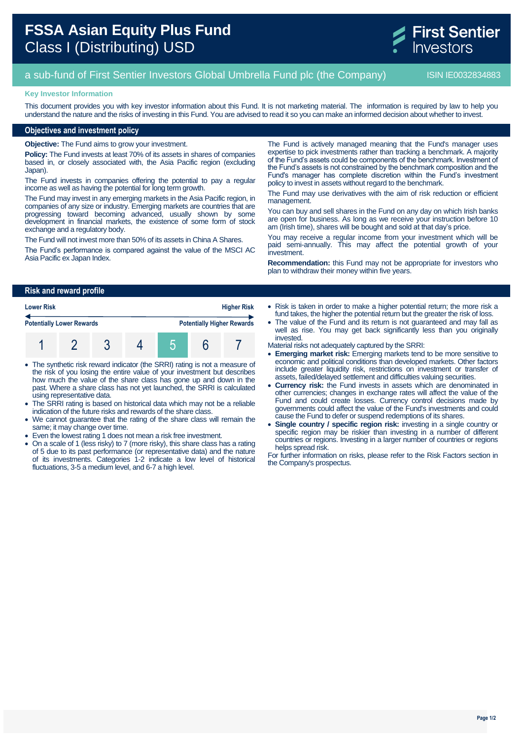

# a sub-fund of First Sentier Investors Global Umbrella Fund plc (the Company) ISIN IE0032834883

#### **Key Investor Information**

This document provides you with key investor information about this Fund. It is not marketing material. The information is required by law to help you understand the nature and the risks of investing in this Fund. You are advised to read it so you can make an informed decision about whether to invest.

### **Objectives and investment policy**

**Objective:** The Fund aims to grow your investment.

**Policy:** The Fund invests at least 70% of its assets in shares of companies based in, or closely associated with, the Asia Pacific region (excluding Japan).

The Fund invests in companies offering the potential to pay a regular income as well as having the potential for long term growth.

The Fund may invest in any emerging markets in the Asia Pacific region, in companies of any size or industry. Emerging markets are countries that are progressing toward becoming advanced, usually shown by some development in financial markets, the existence of some form of stock exchange and a regulatory body.

The Fund will not invest more than 50% of its assets in China A Shares.

The Fund's performance is compared against the value of the MSCI AC Asia Pacific ex Japan Index.

The Fund is actively managed meaning that the Fund's manager uses expertise to pick investments rather than tracking a benchmark. A majority of the Fund's assets could be components of the benchmark. Investment of the Fund's assets is not constrained by the benchmark composition and the Fund's manager has complete discretion within the Fund's investment policy to invest in assets without regard to the benchmark.

The Fund may use derivatives with the aim of risk reduction or efficient management.

You can buy and sell shares in the Fund on any day on which Irish banks are open for business. As long as we receive your instruction before 10 am (Irish time), shares will be bought and sold at that day's price.

You may receive a regular income from your investment which will be paid semi-annually. This may affect the potential growth of your investment.

**Recommendation:** this Fund may not be appropriate for investors who plan to withdraw their money within five years.

### **Risk and reward profile**

| <b>Lower Risk</b><br><b>Potentially Lower Rewards</b> |  |  |  |                                   |  | <b>Higher Risk</b> |
|-------------------------------------------------------|--|--|--|-----------------------------------|--|--------------------|
|                                                       |  |  |  | <b>Potentially Higher Rewards</b> |  |                    |
|                                                       |  |  |  |                                   |  |                    |

- The synthetic risk reward indicator (the SRRI) rating is not a measure of the risk of you losing the entire value of your investment but describes how much the value of the share class has gone up and down in the past. Where a share class has not yet launched, the SRRI is calculated using representative data.
- The SRRI rating is based on historical data which may not be a reliable indication of the future risks and rewards of the share class.
- We cannot guarantee that the rating of the share class will remain the same; it may change over time.
- Even the lowest rating 1 does not mean a risk free investment.
- On a scale of 1 (less risky) to 7 (more risky), this share class has a rating of 5 due to its past performance (or representative data) and the nature of its investments. Categories 1-2 indicate a low level of historical fluctuations, 3-5 a medium level, and 6-7 a high level.

• Risk is taken in order to make a higher potential return; the more risk a fund takes, the higher the potential return but the greater the risk of loss.

- The value of the Fund and its return is not guaranteed and may fall as well as rise. You may get back significantly less than you originally invested.
- Material risks not adequately captured by the SRRI:
- **Emerging market risk:** Emerging markets tend to be more sensitive to economic and political conditions than developed markets. Other factors include greater liquidity risk, restrictions on investment or transfer of assets, failed/delayed settlement and difficulties valuing securities.
- **Currency risk:** the Fund invests in assets which are denominated in other currencies; changes in exchange rates will affect the value of the Fund and could create losses. Currency control decisions made by governments could affect the value of the Fund's investments and could cause the Fund to defer or suspend redemptions of its shares.
- **Single country / specific region risk:** investing in a single country or specific region may be riskier than investing in a number of different countries or regions. Investing in a larger number of countries or regions helps spread risk.

For further information on risks, please refer to the Risk Factors section in the Company's prospectus.